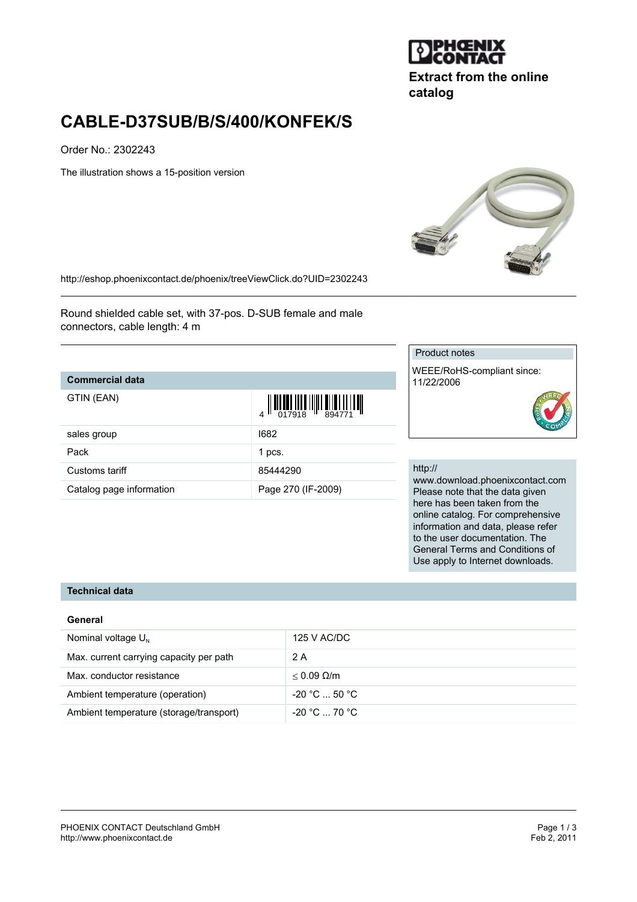

**Extract from the online catalog**

# **CABLE-D37SUB/B/S/400/KONFEK/S**

Order No.: 2302243

The illustration shows a 15-position version



<http://eshop.phoenixcontact.de/phoenix/treeViewClick.do?UID=2302243>

Round shielded cable set, with 37-pos. D-SUB female and male connectors, cable length: 4 m

### **Commercial data**

GTIN (EAN)

| GTIN (EAN)               | $\left\  \prod_{017918} \prod_{101} \prod_{111} \prod_{294771} \prod_{111} \prod_{111} \prod_{111} \prod_{111} \prod_{111} \prod_{111} \prod_{111} \prod_{111} \prod_{111} \prod_{111} \prod_{111} \prod_{111} \prod_{111} \prod_{111} \prod_{111} \prod_{111} \prod_{111} \prod_{111} \prod_{111} \prod_{111} \prod_{111} \prod_{111} \prod_{111} \prod_{111} \prod_{111} \prod_{111}$ |
|--------------------------|-----------------------------------------------------------------------------------------------------------------------------------------------------------------------------------------------------------------------------------------------------------------------------------------------------------------------------------------------------------------------------------------|
| sales group              | 1682                                                                                                                                                                                                                                                                                                                                                                                    |
| Pack                     | 1 pcs.                                                                                                                                                                                                                                                                                                                                                                                  |
| Customs tariff           | 85444290                                                                                                                                                                                                                                                                                                                                                                                |
| Catalog page information | Page 270 (IF-2009)                                                                                                                                                                                                                                                                                                                                                                      |

#### Product notes

WEEE/RoHS-compliant since: 11/22/2006

#### http://

www.download.phoenixcontact.com Please note that the data given here has been taken from the online catalog. For comprehensive information and data, please refer to the user documentation. The General Terms and Conditions of Use apply to Internet downloads.

#### **Technical data**

#### **General**

| Nominal voltage $U_{N}$                 | 125 V AC/DC          |
|-----------------------------------------|----------------------|
| Max. current carrying capacity per path | 2 A                  |
| Max. conductor resistance               | $< 0.09$ Q/m         |
| Ambient temperature (operation)         | $-20 °C  50 °C$      |
| Ambient temperature (storage/transport) | $-20\degree$ C 70 °C |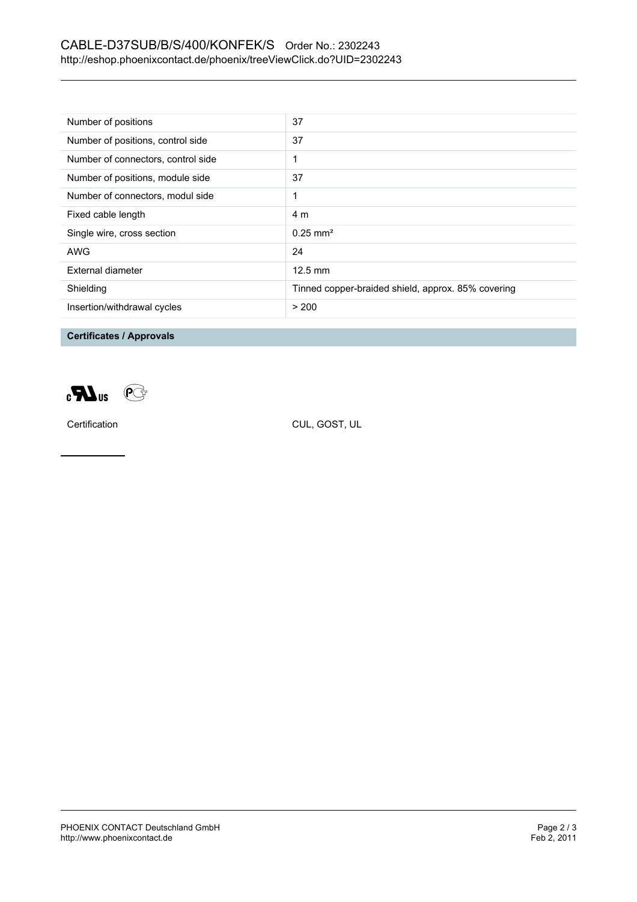# CABLE-D37SUB/B/S/400/KONFEK/S Order No.: 2302243 <http://eshop.phoenixcontact.de/phoenix/treeViewClick.do?UID=2302243>

| Number of positions                | 37                                                 |
|------------------------------------|----------------------------------------------------|
| Number of positions, control side  | 37                                                 |
| Number of connectors, control side |                                                    |
| Number of positions, module side   | 37                                                 |
| Number of connectors, modul side   | 1                                                  |
| Fixed cable length                 | 4 m                                                |
| Single wire, cross section         | $0.25 \text{ mm}^2$                                |
| AWG                                | 24                                                 |
| External diameter                  | $12.5 \text{ mm}$                                  |
| Shielding                          | Tinned copper-braided shield, approx. 85% covering |
| Insertion/withdrawal cycles        | > 200                                              |

**Certificates / Approvals**



Certification CUL, GOST, UL